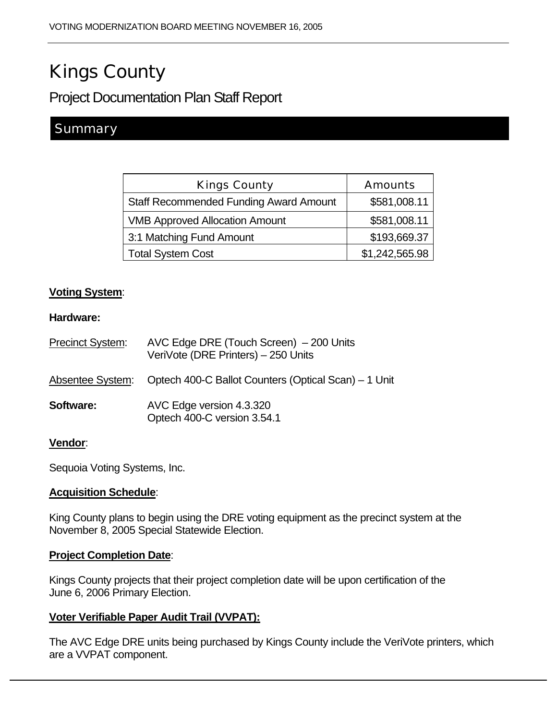# Kings County

Project Documentation Plan Staff Report

# **Summary**

| <b>Kings County</b>                           | <b>Amounts</b> |
|-----------------------------------------------|----------------|
| <b>Staff Recommended Funding Award Amount</b> | \$581,008.11   |
| <b>VMB Approved Allocation Amount</b>         | \$581,008.11   |
| 3:1 Matching Fund Amount                      | \$193,669.37   |
| <b>Total System Cost</b>                      | \$1,242,565.98 |

# **Voting System**:

#### **Hardware:**

| Precinct System: | AVC Edge DRE (Touch Screen) - 200 Units<br>VeriVote (DRE Printers) - 250 Units |
|------------------|--------------------------------------------------------------------------------|
| Absentee System: | Optech 400-C Ballot Counters (Optical Scan) – 1 Unit                           |
| Software:        | AVC Edge version 4.3.320<br>Optech 400-C version 3.54.1                        |

#### **Vendor**:

Sequoia Voting Systems, Inc.

#### **Acquisition Schedule**:

King County plans to begin using the DRE voting equipment as the precinct system at the November 8, 2005 Special Statewide Election.

#### **Project Completion Date**:

Kings County projects that their project completion date will be upon certification of the June 6, 2006 Primary Election.

# **Voter Verifiable Paper Audit Trail (VVPAT):**

The AVC Edge DRE units being purchased by Kings County include the VeriVote printers, which are a VVPAT component.